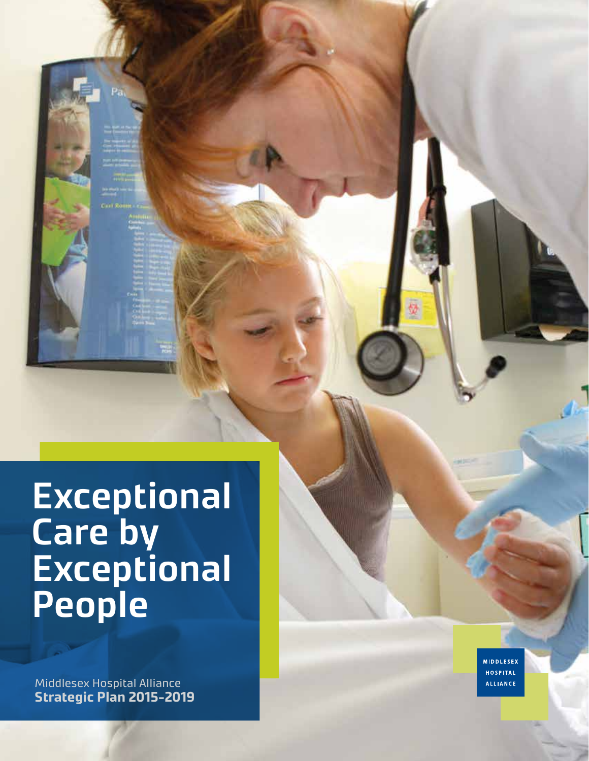**Exceptional Care by Exceptional People**

Middlesex Hospital Alliance **Strategic Plan 2015-2019** **MIDDLESEX HOSPITAL ALLIANCE**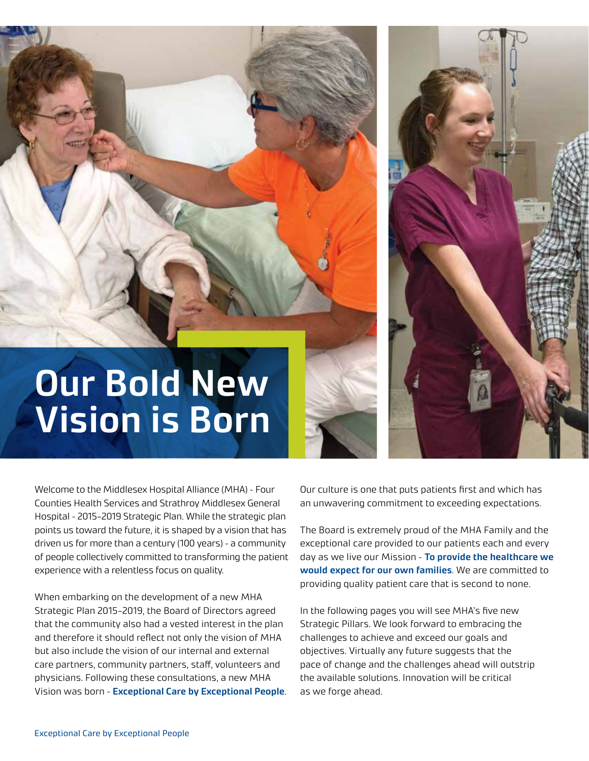## **Our Bold New Vision is Born**

Welcome to the Middlesex Hospital Alliance (MHA) – Four Counties Health Services and Strathroy Middlesex General Hospital – 2015-2019 Strategic Plan. While the strategic plan points us toward the future, it is shaped by a vision that has driven us for more than a century (100 years) – a community of people collectively committed to transforming the patient experience with a relentless focus on quality.

When embarking on the development of a new MHA Strategic Plan 2015-2019, the Board of Directors agreed that the community also had a vested interest in the plan and therefore it should reflect not only the vision of MHA but also include the vision of our internal and external care partners, community partners, staff, volunteers and physicians. Following these consultations, a new MHA Vision was born – **Exceptional Care by Exceptional People**. Our culture is one that puts patients first and which has an unwavering commitment to exceeding expectations.

The Board is extremely proud of the MHA Family and the exceptional care provided to our patients each and every day as we live our Mission – **To provide the healthcare we would expect for our own families**. We are committed to providing quality patient care that is second to none.

In the following pages you will see MHA's five new Strategic Pillars. We look forward to embracing the challenges to achieve and exceed our goals and objectives. Virtually any future suggests that the pace of change and the challenges ahead will outstrip the available solutions. Innovation will be critical as we forge ahead.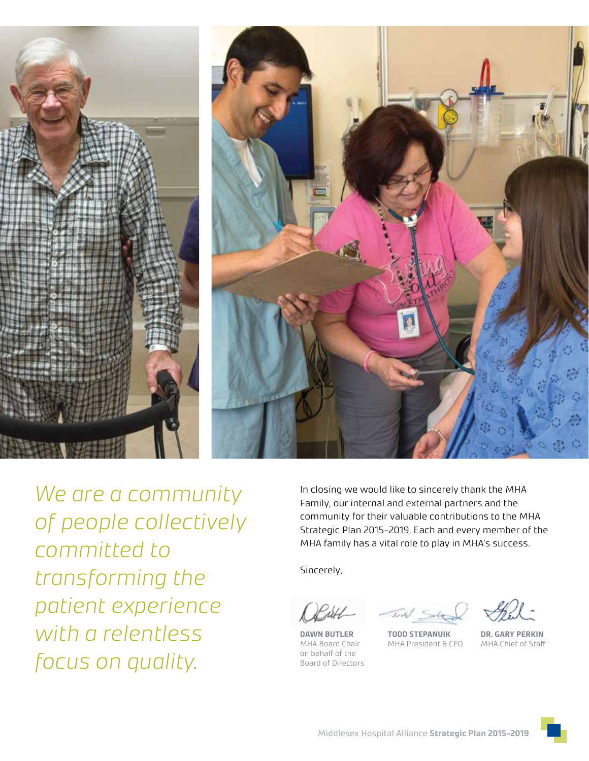



*We are a community of people collectively committed to transforming the patient experience with a relentless focus on quality.*

In closing we would like to sincerely thank the MHA Family, our internal and external partners and the community for their valuable contributions to the MHA Strategic Plan 2015-2019. Each and every member of the MHA family has a vital role to play in MHA's success.

Sincerely,

**DAWN BUTLER TODD STEPANUIK DR. GARY PERKIN** on behalf of the Board of Directors

MHA President & CEO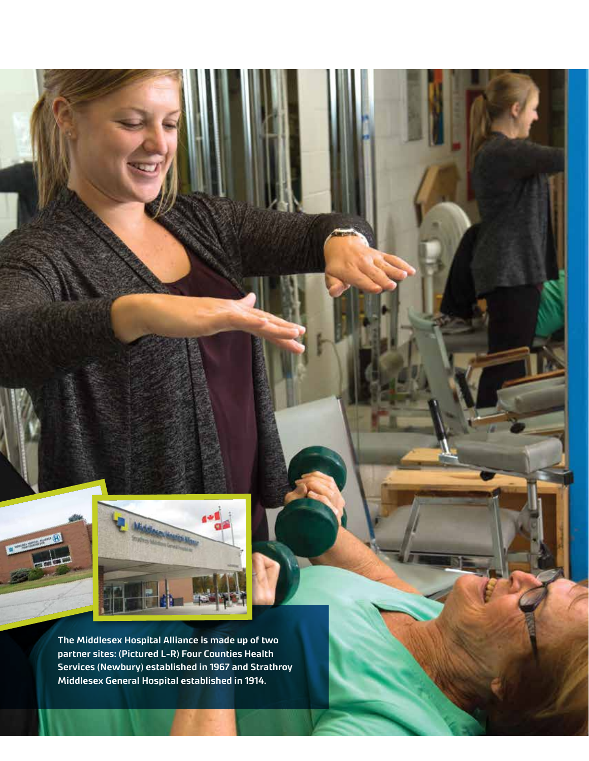

**The Middlesex Hospital Alliance is made up of two partner sites: (Pictured L-R) Four Counties Health Services (Newbury) established in 1967 and Strathroy Middlesex General Hospital established in 1914.**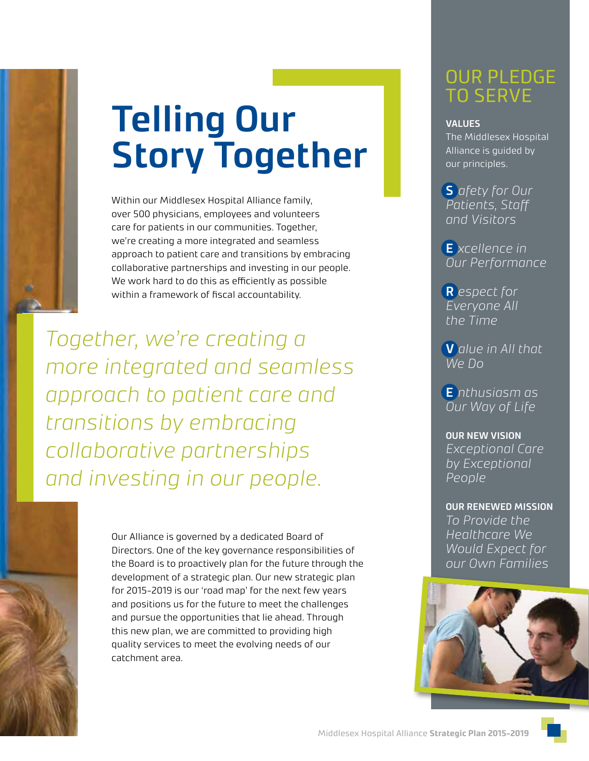

# **Telling Our Story Together**

Within our Middlesex Hospital Alliance family, over 500 physicians, employees and volunteers care for patients in our communities. Together, we're creating a more integrated and seamless approach to patient care and transitions by embracing collaborative partnerships and investing in our people. We work hard to do this as efficiently as possible within a framework of fiscal accountability.

*Together, we're creating a more integrated and seamless approach to patient care and transitions by embracing collaborative partnerships and investing in our people.*



Our Alliance is governed by a dedicated Board of Directors. One of the key governance responsibilities of the Board is to proactively plan for the future through the development of a strategic plan. Our new strategic plan for 2015-2019 is our 'road map' for the next few years and positions us for the future to meet the challenges and pursue the opportunities that lie ahead. Through this new plan, we are committed to providing high quality services to meet the evolving needs of our catchment area.

## OUR PLEDGE TO SERVE

### **VALUES**

The Middlesex Hospital Alliance is guided by our principles.

**S** *afety for Our Patients, Staff and Visitors*

**E** *xcellence in Our Performance*

**R** *espect for Everyone All the Time*

**V** *alue in All that We Do*

**E** *nthusiasm as Our Way of Life*

#### **OUR NEW VISION**

*Exceptional Care by Exceptional People*

### **OUR RENEWED MISSION**

*To Provide the Healthcare We Would Expect for our Own Families*

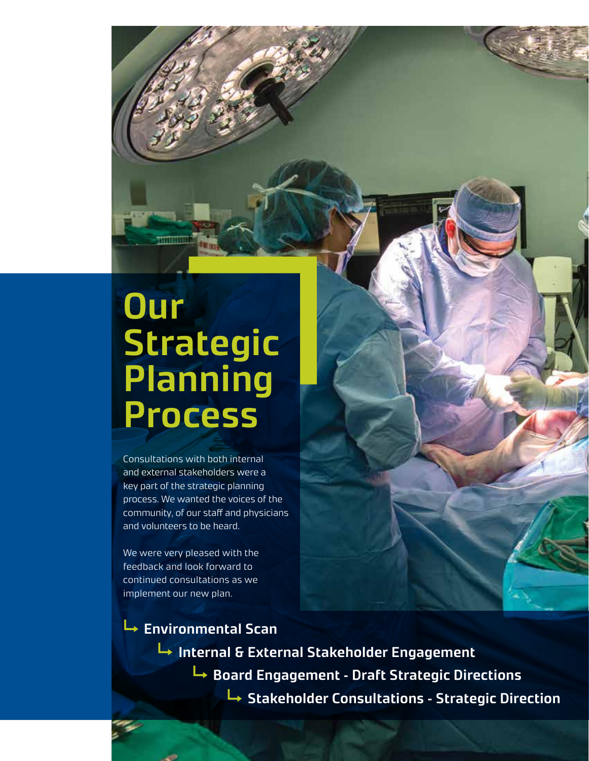## **Our Strategic Planning Process**

Consultations with both internal and external stakeholders were a key part of the strategic planning process. We wanted the voices of the community, of our staff and physicians and volunteers to be heard.

We were very pleased with the feedback and look forward to continued consultations as we implement our new plan.

**Environmental Scan Internal & External Stakeholder Engagement Board Engagement – Draft Strategic Directions Stakeholder Consultations – Strategic Direction**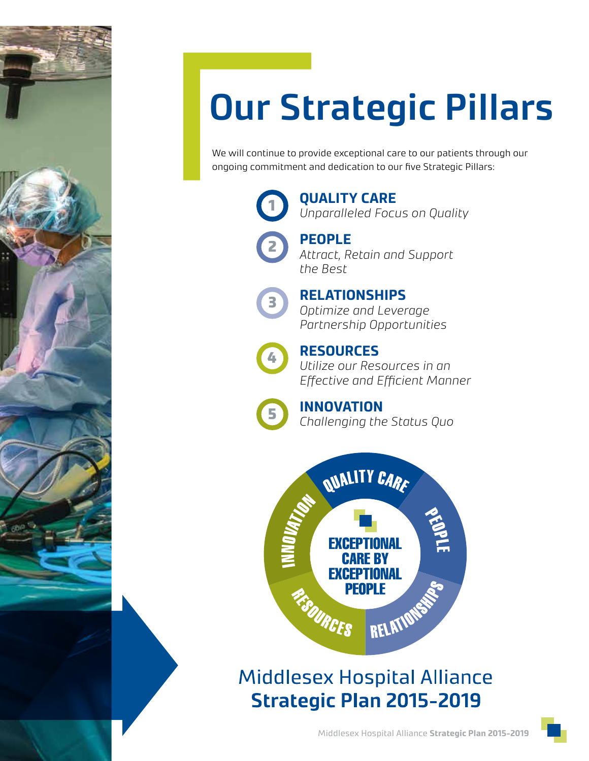

# **Our Strategic Pillars**

We will continue to provide exceptional care to our patients through our ongoing commitment and dedication to our five Strategic Pillars:



**QUALITY CARE** *Unparalleled Focus on Quality*



3

**PEOPLE** *Attract, Retain and Support the Best*

### **RELATIONSHIPS**

*Optimize and Leverage Partnership Opportunities*



**RESOURCES** *Utilize our Resources in an Effective and Efficient Manner*



**INNOVATION**





**Middlesex Hospital Alliance Strategic Plan 2015-2019**